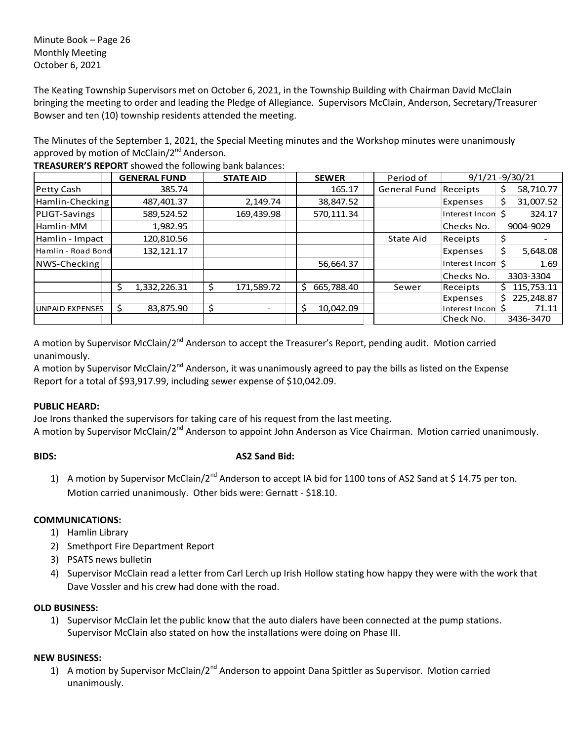Minute Book – Page 26 Monthly Meeting October 6, 2021

The Keating Township Supervisors met on October 6, 2021, in the Township Building with Chairman David McClain bringing the meeting to order and leading the Pledge of Allegiance. Supervisors McClain, Anderson, Secretary/Treasurer Bowser and ten (10) township residents attended the meeting.

The Minutes of the September 1, 2021, the Special Meeting minutes and the Workshop minutes were unanimously approved by motion of McClain/2<sup>nd</sup> Anderson.

|                        |    | <b>GENERAL FUND</b> |   | <b>STATE AID</b>         |    | <b>SEWER</b> | Period of    | $9/1/21 - 9/30/21$ |    |            |
|------------------------|----|---------------------|---|--------------------------|----|--------------|--------------|--------------------|----|------------|
| Petty Cash             |    | 385.74              |   |                          |    | 165.17       | General Fund | Receipts           | \$ | 58,710.77  |
| Hamlin-Checking        |    | 487,401.37          |   | 2,149.74                 |    | 38,847.52    |              | Expenses           | \$ | 31,007.52  |
| PLIGT-Savings          |    | 589,524.52          |   | 169,439.98               |    | 570,111.34   |              | Interest Incon \$  |    | 324.17     |
| Hamlin-MM              |    | 1,982.95            |   |                          |    |              |              | Checks No.         |    | 9004-9029  |
| Hamlin - Impact        |    | 120,810.56          |   |                          |    |              | State Aid    | Receipts           | Ş  |            |
| Hamlin - Road Bond     |    | 132, 121. 17        |   |                          |    |              |              | Expenses           | \$ | 5,648.08   |
| NWS-Checking           |    |                     |   |                          |    | 56,664.37    |              | Interest Incon S   |    | 1.69       |
|                        |    |                     |   |                          |    |              |              | Checks No.         |    | 3303-3304  |
|                        | Ś. | 1,332,226.31        | Ś | 171,589.72               | Ś. | 665,788.40   | Sewer        | Receipts           | S  | 115,753.11 |
|                        |    |                     |   |                          |    |              |              | Expenses           | \$ | 225,248.87 |
| <b>UNPAID EXPENSES</b> | \$ | 83,875.90           |   | $\overline{\phantom{0}}$ | Ś  | 10,042.09    |              | Interest Incon \$  |    | 71.11      |
|                        |    |                     |   |                          |    |              |              | Check No.          |    | 3436-3470  |

**TREASURER'S REPORT** showed the following bank balances:

A motion by Supervisor McClain/2<sup>nd</sup> Anderson to accept the Treasurer's Report, pending audit. Motion carried unanimously.

A motion by Supervisor McClain/2<sup>nd</sup> Anderson, it was unanimously agreed to pay the bills as listed on the Expense Report for a total of \$93,917.99, including sewer expense of \$10,042.09.

## **PUBLIC HEARD:**

Joe Irons thanked the supervisors for taking care of his request from the last meeting. A motion by Supervisor McClain/2<sup>nd</sup> Anderson to appoint John Anderson as Vice Chairman. Motion carried unanimously.

## **BIDS: AS2 Sand Bid:**

1) A motion by Supervisor McClain/2<sup>nd</sup> Anderson to accept IA bid for 1100 tons of AS2 Sand at \$ 14.75 per ton. Motion carried unanimously. Other bids were: Gernatt - \$18.10.

## **COMMUNICATIONS:**

- 1) Hamlin Library
- 2) Smethport Fire Department Report
- 3) PSATS news bulletin
- 4) Supervisor McClain read a letter from Carl Lerch up Irish Hollow stating how happy they were with the work that Dave Vossler and his crew had done with the road.

## **OLD BUSINESS:**

1) Supervisor McClain let the public know that the auto dialers have been connected at the pump stations. Supervisor McClain also stated on how the installations were doing on Phase III.

# **NEW BUSINESS:**

1) A motion by Supervisor McClain/2<sup>nd</sup> Anderson to appoint Dana Spittler as Supervisor. Motion carried unanimously.